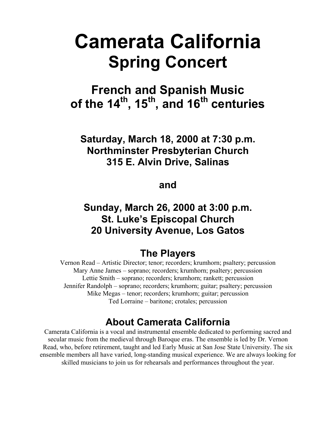# **Camerata California Spring Concert**

## **French and Spanish Music**  of the 14<sup>th</sup>, 15<sup>th</sup>, and 16<sup>th</sup> centuries

### **Saturday, March 18, 2000 at 7:30 p.m. Northminster Presbyterian Church 315 E. Alvin Drive, Salinas**

### **and**

### **Sunday, March 26, 2000 at 3:00 p.m. St. Luke's Episcopal Church 20 University Avenue, Los Gatos**

### **The Players**

Vernon Read – Artistic Director; tenor; recorders; krumhorn; psaltery; percussion Mary Anne James – soprano; recorders; krumhorn; psaltery; percussion Lettie Smith – soprano; recorders; krumhorn; rankett; percussion Jennifer Randolph – soprano; recorders; krumhorn; guitar; psaltery; percussion Mike Megas – tenor; recorders; krumhorn; guitar; percussion Ted Lorraine – baritone; crotales; percussion

### **About Camerata California**

Camerata California is a vocal and instrumental ensemble dedicated to performing sacred and secular music from the medieval through Baroque eras. The ensemble is led by Dr. Vernon Read, who, before retirement, taught and led Early Music at San Jose State University. The six ensemble members all have varied, long-standing musical experience. We are always looking for skilled musicians to join us for rehearsals and performances throughout the year.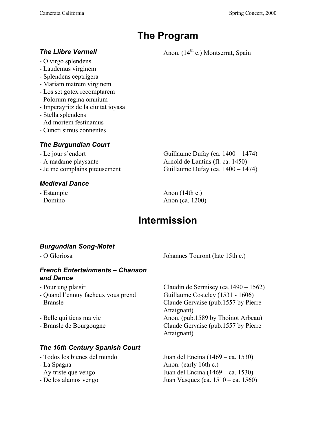### **The Program**

- O virgo splendens
- Laudemus virginem
- Splendens ceptrigera
- Mariam matrem virginem
- Los set gotex recomptarem
- Polorum regina omnium
- Imperayritz de la ciuitat ioyasa
- Stella splendens
- Ad mortem festinamus
- Cuncti simus connentes

#### *The Burgundian Court*

- 
- 
- 

#### *Medieval Dance*

- 
- 

- Le jour s'endort Guillaume Dufay (ca. 1400 – 1474) - A madame playsante Arnold de Lantins (fl. ca. 1450) - Je me complains piteusement Guillaume Dufay (ca. 1400 – 1474)

- Estampie Anon (14th c.) - Domino Anon (ca. 1200)

### **Intermission**

### *Burgundian Song-Motet*

- O Gloriosa Johannes Touront (late 15th c.)

#### *French Entertainments – Chanson and Dance*

- 
- Quand l'ennuy facheux vous prend Guillaume Costeley (1531 1606)
- 

### *The 16th Century Spanish Court*

- 
- 
- 
- 

- Pour ung plaisir Claudin de Sermisey (ca.1490 – 1562) - Bransle Claude Gervaise (pub.1557 by Pierre Attaignant) - Belle qui tiens ma vie Anon. (pub.1589 by Thoinot Arbeau) - Bransle de Bourgougne Claude Gervaise (pub.1557 by Pierre Attaignant)

- Todos los bienes del mundo Juan del Encina (1469 – ca. 1530) - La Spagna Anon. (early 16th c.) - Ay triste que vengo Juan del Encina (1469 – ca. 1530) - De los alamos vengo Juan Vasquez (ca. 1510 – ca. 1560)

**The Llibre Vermell Anon.** (14<sup>th</sup> c.) Montserrat, Spain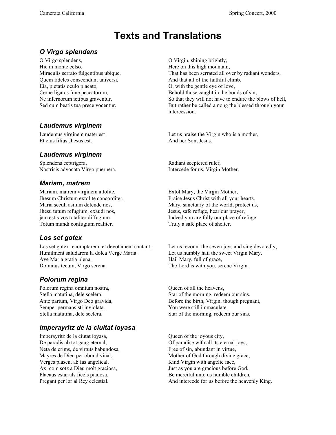### **Texts and Translations**

#### *O Virgo splendens*

O Virgo splendens, O Virgin, shining brightly, Hic in monte celso, Here on this high mountain, Quem fideles conscendunt universi, And that all of the faithful climb, Eia, pietatis oculo placato, O, with the gentle eye of love,

#### *Laudemus virginem*

Et eius filius Jhesus est. And her Son, Jesus.

#### *Laudemus virginem*

Splendens ceptrigera, Radiant sceptered ruler, Nostrisis advocata Virgo puerpera. Intercede for us, Virgin Mother.

#### *Mariam, matrem*

Mariam, matrem virginem attolite, Extol Mary, the Virgin Mother, Jhesum Christum extolite concorditer. Praise Jesus Christ with all your hearts. Jhesu tutum refugium, exaudi nos, Jesus, safe refuge, hear our prayer, Totum mundi confugium realiter. Truly a safe place of shelter.

#### *Los set gotex*

Los set gotex recomptarem, et devotament cantant, Let us recount the seven joys and sing devotedly, Humilment saludarem la dolca Verge Maria. Let us humbly hail the sweet Virgin Mary. Ave Maria gratia plena, https://www.maria.com/hail Mary, full of grace, Dominus tecum, Virgo serena. The Lord is with you, serene Virgin.

#### *Polorum regina*

Polorum regina omnium nostra, Queen of all the heavens, Semper permansisti inviolata. You were still immaculate.

#### *Imperayritz de la ciuitat ioyasa*

Imperayritz de la ciutat ioyasa, Queen of the joyous city, De paradis ab tot gaug eternal,  $\qquad \qquad$  Of paradise with all its eternal joys, Neta de crims, de virtuts habundosa, Free of sin, abundant in virtue, Verges plasen, ab fas angelical, Kind Virgin with angelic face, Axi com sotz a Dieu molt graciosa, Just as you are gracious before God,

Miraculis serrato fulgentibus ubique, That has been serrated all over by radiant wonders, Cerne ligatos fune peccatorum, Behold those caught in the bonds of sin, Ne infernorum ictibus graventur, So that they will not have to endure the blows of hell, Sed cum beatis tua prece vocentur. But rather be called among the blessed through your intercession.

Laudemus virginem mater est Let us praise the Virgin who is a mother,

Maria seculi asilum defende nos, Mary, sanctuary of the world, protect us, jam estis vos totaliter diffugium Indeed you are fully our place of refuge,

Stella matutina, dele scelera. Star of the morning, redeem our sins. Ante partum, Virgo Deo gravida, Before the birth, Virgin, though pregnant, Stella matutina, dele scelera. Star of the morning, redeem our sins.

Mayres de Dieu per obra divinal, Mother of God through divine grace, Placaus estar als ficels piadosa, Be merciful unto us humble children, Pregant per lor al Rey celestial. And intercede for us before the heavenly King.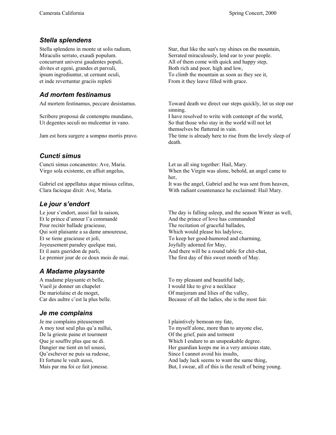#### *Stella splendens*

divites et egeni, grandes et parvuli, Both rich and poor, high and low, et inde revertuntur graciis repleti From it they leave filled with grace.

#### *Ad mortem festinamus*

#### *Cuncti simus*

Cuncti simus concanentes: Ave, Maria. Let us all sing together: Hail, Mary.

Clara facieque dixit: Ave, Maria. With radiant countenance he exclaimed: Hail Mary.

#### *Le jour s'endort*

Et le prince d'amour l'a commandé And the prince of love has commanded Pour recitér ballade gracieuse, The recitation of graceful ballades, Qui soit plaisante a sa dame amoureuse, Which would please his ladylove, Joyeusement paradey quelque mai, Joyfully adorned for May,

### *A Madame playsante*

Vueil je donner un chapelet I would like to give a necklace

#### *Je me complains*

Je me complains piteusement I plaintively bemoan my fate, De la grieste paine et tourment Of the grief, pain and torment Qu'eschever ne puis sa rudesse, Since I cannot avoid his insults,

Stella splendens in monte ut solis radium, Star, that like the sun's ray shines on the mountain, Miraculis serrato, exaudi populum. Serrated miraculously, lend ear to your people. concurrunt universi gaudentes populi, All of them come with quick and happy step, ipsum ingrediuntur, ut cernunt oculi, To climb the mountain as soon as they see it,

Ad mortem festinamus, peccare desistamus. Toward death we direct our steps quickly, let us stop our sinning.

Scribere proposui de contemptu mundano, I have resolved to write with contempt of the world, Ut degentes seculi no mulcentur in vano. So that those who stay in the world will not let themselves be flattered in vain. Jam est hora surgere a sompno mortis pravo. The time is already here to rise from the lovely sleep of

death.

Virgo sola existente, en affuit angelus, When the Virgin was alone, behold, an angel came to her, Gabriel est appellatus atque missus celitus, It was the angel, Gabriel and he was sent from heaven,

Le jour s'endort, aussi fait la saison, The day is falling asleep, and the season Winter as well, Et se tiene gracieuse et joli, To keep her good-humored and charming, Et il aura gueridon de parli, And there will be a round table for chit-chat, Le premier jour de ce doux mois de mai. The first day of this sweet month of May.

A madame playsante et belle, To my pleasant and beautiful lady, De mariolaine et de moget,  $\overline{O}$  Of marioram and lilies of the valley, Car des aultre c'est la plus belle. Because of all the ladies, she is the most fair.

A moy tout seul plus qu'a nullui, To myself alone, more than to anyone else, Que je souffre plus que ne di. Which I endure to an unspeakable degree. Dangier me tient en tel soussi, Her guardian keeps me in a very anxious state, Et fortune le veult aussi, And lady luck seems to want the same thing, Mais par ma foi ce fait jonesse. But, I swear, all of this is the result of being young.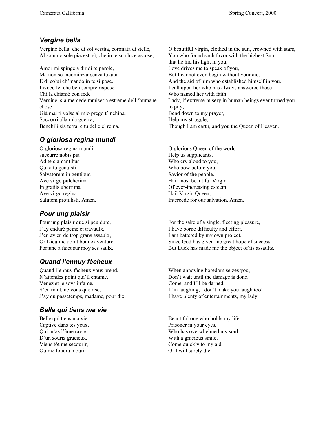#### *Vergine bella*

Vergine bella, che di sol vestita, coronata di stelle, O beautiful virgin, clothed in the sun, crowned with stars, Al sommo sole piacesti sì, che in te sua luce ascose, You who found such favor with the highest Sun

Amor mi spinge a dir di te parole, Love drives me to speak of you, Ma non so incominzar senza tu aita, But I cannot even begin without your aid, E di colui ch'mando in te si pose. And the aid of him who established himself in you. Invoco lei che ben sempre rispose I call upon her who has always answered those Chi la chiamò con fede Who named her with faith. Vergine, s'a mercede mmiseria estreme dell 'humane chose Già mai ti volse al mio prego t'inchina, Bend down to my prayer, Soccorri alla mia guerra, https://www.mateural.com/help my struggle, Benchi'i sia terra, e tu del ciel reina. Though I am earth, and you the Queen of Heaven.

#### *O gloriosa regina mundi*

succurre nobis pia help us supplicants, Ad te clamantibus Who cry aloud to you, Qui a tu genuisti Who bow before you, Salvatorem in gentibus. Savior of the people. Ave virgo pulcherima has beautiful Virgin Hail most beautiful Virgin In gratiis uberrima Of ever-increasing esteem Ave virgo regina Hail Virgin Queen,

#### *Pour ung plaisir*

J'ay enduré peine et travaulx, I have borne difficulty and effort. J'en ay en de trop grans assaulx, I am battered by my own project,

### *Quand l'ennuy fâcheux*

Quand l'ennuy fâcheux vous prend, When annoying boredom seizes you, N'attendez point qui'il entame. Don't wait until the damage is done. Venez et je soys infame, Come, and I'll be darned, J'ay du passetemps, madame, pour dix. I have plenty of entertainments, my lady.

#### *Belle qui tiens ma vie*

Captive dans tes yeux, Prisoner in your eyes, Ou me foudra mourir. Or I will surely die.

that he hid his light in you, Lady, if extreme misery in human beings ever turned you to pity,

O gloriosa regina mundi O glorious Queen of the world Salutem protulisti, Amen. Intercede for our salvation, Amen.

Pour ung plaisir que si peu dure, For the sake of a single, fleeting pleasure, Or Dieu me doint bonne aventure, Since God has given me great hope of success, Fortune a faict sur moy ses saulx. But Luck has made me the object of its assaults.

S'en riant, ne vous que rise, If in laughing, I don't make you laugh too!

Belle qui tiens ma vie Beautiful one who holds my life Qui m'as l'âme ravie Who has overwhelmed my soul D'un souriz gracieux, With a gracious smile, Viens tôt me secourir, Come quickly to my aid,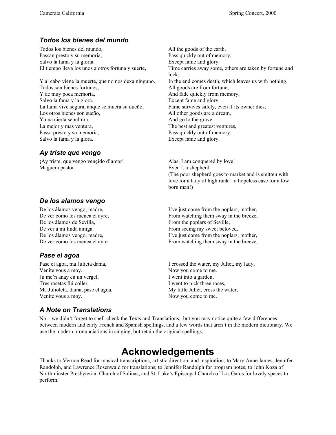#### *Todos los bienes del mundo*

Todos los bienes del mundo, All the goods of the earth, Passan presto y su memoria, Pass quickly out of memory, Salvo la fama y la gloria. Except fame and glory.

Todos son bienes fortunos, All goods are from fortune, Y de muy poca memoria, and fade quickly from memory, Salvo la fama y la glora. Except fame and glory. La fama vive segura, anque se muera su dueño, Fame survives safely, even if its owner dies, Los otros bienes son sueño, All other goods are a dream, Y una cierta sepultura. And go to the grave. La mejor y mas ventura, The best and greatest ventures, Passa presto y su memoria, Pass quickly out of memory, Salvo la fama y la glora. Except fame and glory.

#### *Ay triste que vengo*

¡Ay triste, que vengo vençido d'amor! Alas, I am conquered by love! Maguera pastor. Even I, a shepherd.

#### *De los alamos vengo*

De los álamos de Sevilla, From the poplars of Seville, De ver a mi linda amiga. From seeing my sweet beloved.

#### *Pase el agoa*

Venite vous a moy. Now you come to me. Ju me'n anay en un vergel, I went into a garden, Tres rosetas fui coller, I went to pick three roses, Ma Julioleta, dama, pase el agoa, My little Juliet, cross the water, Venite vous a moy. Now you come to me.

El tiempo lleva los unos a otros fortuna y suerte, Time carries away some, others are taken by fortune and luck, Y al cabo viene la muerte, que no nos dexa ninguno. In the end comes death, which leaves us with nothing.

> (The poor shepherd goes to market and is smitten with love for a lady of high rank – a hopeless case for a low born man!)

De los álamos vengo, madre, I've just come from the poplars, mother, De ver como los menea el ayre, From watching them sway in the breeze, De los álamos vengo, madre, I've just come from the poplars, mother, De ver como los menea el ayre. From watching them sway in the breeze,

Pase el agoa, ma Julieta dama, I crossed the water, my Juliet, my lady,

#### *A Note on Translations*

No – we didn't forget to spell-check the Texts and Translations, but you may notice quite a few differences between modern and early French and Spanish spellings, and a few words that aren't in the modern dictionary. We use the modern pronunciations in singing, but retain the original spellings.

### **Acknowledgements**

Thanks to Vernon Read for musical transcriptions, artistic direction, and inspiration; to Mary Anne James, Jennifer Randolph, and Lawrence Rosenwald for translations; to Jennifer Randolph for program notes; to John Koza of Northminster Presbyterian Church of Salinas, and St. Luke's Episcopal Church of Los Gatos for lovely spaces to perform.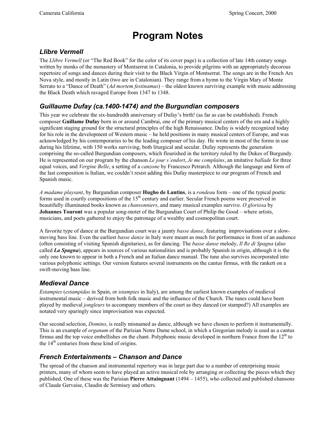### **Program Notes**

#### *Llibre Vermell*

The *Llibre Vermell* (or "The Red Book" for the color of its cover page) is a collection of late 14th century songs written by monks of the monastery of Montserrat in Catalonia, to provide pilgrims with an appropriately decorous repertoire of songs and dances during their visit to the Black Virgin of Montserrat. The songs are in the French Ars Nova style, and mostly in Latin (two are in Catalonian). They range from a hymn to the Virgin Mary of Monte Serrato to a "Dance of Death" (*Ad mortem festinamus*) – the oldest known surviving example with music addressing the Black Death which ravaged Europe from 1347 to 1348.

#### *Guillaume Dufay (ca.1400-1474) and the Burgundian composers*

This year we celebrate the six-hundredth anniversary of Dufay's birth! (as far as can be established). French composer **Guillame Dufay** born in or around Cambrai, one of the primary musical centers of the era and a highly significant staging ground for the structural principles of the high Renaissance. Dufay is widely recognized today for his role in the development of Western music – he held positions in many musical centers of Europe, and was acknowledged by his contemporaries to be the leading composer of his day. He wrote in most of the forms in use during his lifetime, with 150 works surviving, both liturgical and secular. Dufay represents the generation comprising the so-called Burgundian composers, which flourished in the territory ruled by the Dukes of Burgundy. He is represented on our program by the chanson *Le jour s'endort*, *Je me complains*, an imitative *ballade* for three equal voices, and *Vergine Belle*, a setting of a *canzone* by Francesco Petrarch. Although the language and form of the last composition is Italian, we couldn't resist adding this Dufay masterpiece to our program of French and Spanish music.

*A madame playsant*, by Burgundian composer **Hugho de Lantins**, is a *rondeau* form – one of the typical poetic forms used in courtly compositions of the 15<sup>th</sup> century and earlier. Secular French poems were preserved in beautifully illuminated books known as *chansonniers*, and many musical examples survive. *O gloriosa* by **Johannes Touront** was a popular song-motet of the Burgundian Court of Philip the Good – where artists, musicians, and poets gathered to enjoy the patronage of a wealthy and cosmopolitan court.

A favorite type of dance at the Burgundian court was a jaunty *basse danse*, featuring improvisations over a slowmoving bass line. Even the earliest *basse danze* in Italy were meant as much for performance in front of an audience (often consisting of visiting Spanish dignitaries), as for dancing. The *basse danse* melody, *Il Re di Spagna* (also called *La Spagna*), appears in sources of various nationalities and is probably Spanish in origin, although it is the only one known to appear in both a French and an Italian dance manual. The tune also survives incorporated into various polyphonic settings. Our version features several instruments on the cantus firmus, with the rankett on a swift-moving bass line.

#### *Medieval Dance*

*Estampies* (*estampidas* in Spain, or *istampies* in Italy), are among the earliest known examples of medieval instrumental music – derived from both folk music and the influence of the Church. The tunes could have been played by medieval *jongleurs* to accompany members of the court as they danced (or stamped?) All examples are notated very sparingly since improvisation was expected.

Our second selection, *Domino*, is really misnamed as dance, although we have chosen to perform it instrumentally. This is an example of *organum* of the Parisian Notre Dame school, in which a Gregorian melody is used as a cantus firmus and the top voice embellishes on the chant. Polyphonic music developed in northern France from the  $12<sup>th</sup>$  to the  $14<sup>th</sup>$  centuries from these kind of origins.

#### *French Entertainments – Chanson and Dance*

The spread of the chanson and instrumental repertory was in large part due to a number of enterprising music printers, many of whom seem to have played an active musical role by arranging or collecting the pieces which they published. One of these was the Parisian **Pierre Attaingnant** (1494 – 1455), who collected and published chansons of Claude Gervaise, Claudin de Sermisey and others.